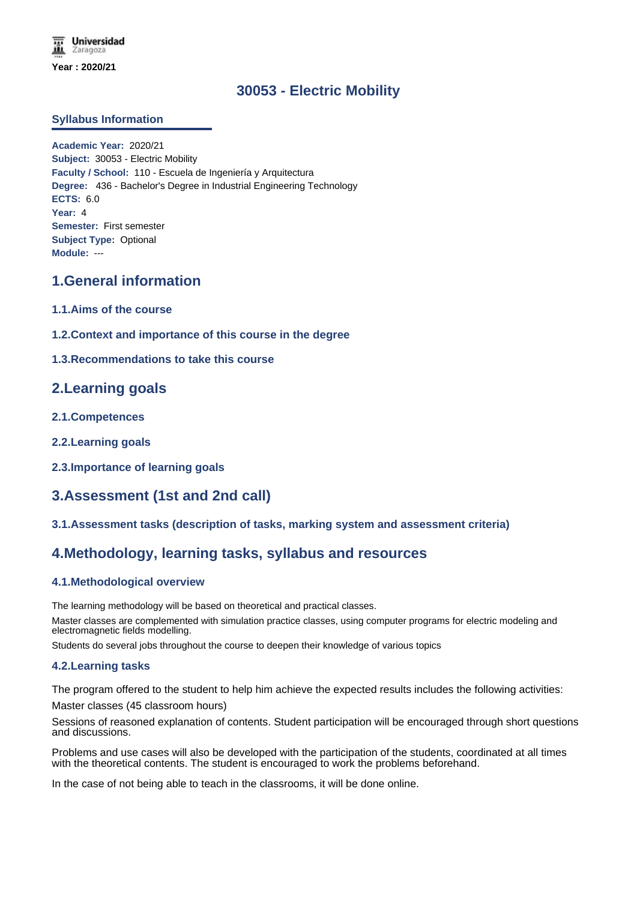# **30053 - Electric Mobility**

## **Syllabus Information**

**Academic Year:** 2020/21 **Subject:** 30053 - Electric Mobility **Faculty / School:** 110 - Escuela de Ingeniería y Arquitectura **Degree:** 436 - Bachelor's Degree in Industrial Engineering Technology **ECTS:** 6.0 **Year:** 4 **Semester:** First semester **Subject Type:** Optional **Module:** ---

# **1.General information**

- **1.1.Aims of the course**
- **1.2.Context and importance of this course in the degree**
- **1.3.Recommendations to take this course**

# **2.Learning goals**

- **2.1.Competences**
- **2.2.Learning goals**
- **2.3.Importance of learning goals**

# **3.Assessment (1st and 2nd call)**

### **3.1.Assessment tasks (description of tasks, marking system and assessment criteria)**

# **4.Methodology, learning tasks, syllabus and resources**

### **4.1.Methodological overview**

The learning methodology will be based on theoretical and practical classes.

Master classes are complemented with simulation practice classes, using computer programs for electric modeling and electromagnetic fields modelling.

Students do several jobs throughout the course to deepen their knowledge of various topics

### **4.2.Learning tasks**

The program offered to the student to help him achieve the expected results includes the following activities:

Master classes (45 classroom hours)

Sessions of reasoned explanation of contents. Student participation will be encouraged through short questions and discussions.

Problems and use cases will also be developed with the participation of the students, coordinated at all times with the theoretical contents. The student is encouraged to work the problems beforehand.

In the case of not being able to teach in the classrooms, it will be done online.